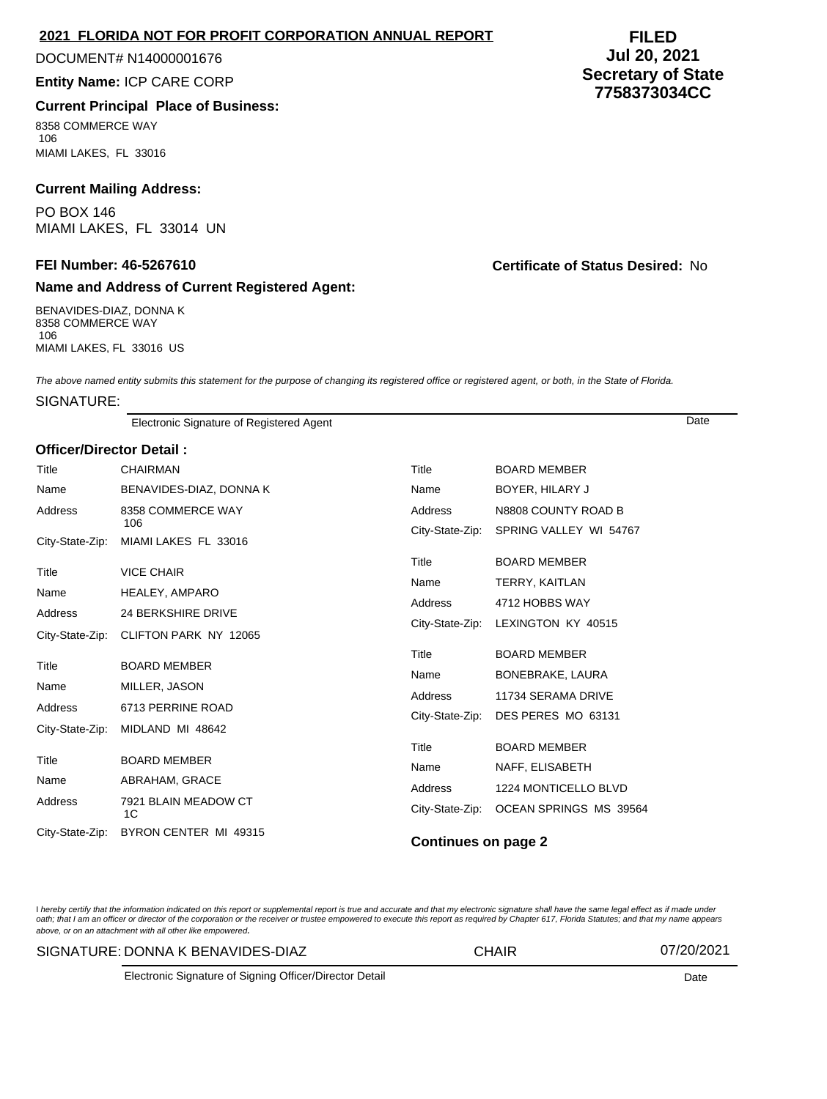## **2021 FLORIDA NOT FOR PROFIT CORPORATION ANNUAL REPORT**

## DOCUMENT# N14000001676

## **Entity Name:** ICP CARE CORP

# **Current Principal Place of Business:**

8358 COMMERCE WAY 106 MIAMI LAKES, FL 33016

# **Current Mailing Address:**

PO BOX 146 MIAMI LAKES, FL 33014 UN

# **Name and Address of Current Registered Agent:**

BENAVIDES-DIAZ, DONNA K 8358 COMMERCE WAY 106 MIAMI LAKES, FL 33016 US

**FILED Jul 20, 2021 Secretary of State 7758373034CC**

**FEI Number: 46-5267610 Certificate of Status Desired:** No

The above named entity submits this statement for the purpose of changing its registered office or registered agent, or both, in the State of Florida.

#### SIGNATURE:

Electronic Signature of Registered Agent Date

#### **Officer/Director Detail :**

| Title           | CHAIRMAN                   | Title                              | <b>BOARD MEMBER</b>    |  |
|-----------------|----------------------------|------------------------------------|------------------------|--|
| Name            | BENAVIDES-DIAZ, DONNA K    | Name                               | BOYER, HILARY J        |  |
| Address         | 8358 COMMERCE WAY<br>106   | Address                            | N8808 COUNTY ROAD B    |  |
| City-State-Zip: | MIAMI LAKES FL 33016       | City-State-Zip:                    | SPRING VALLEY WI 54767 |  |
| Title           | <b>VICE CHAIR</b>          | Title                              | <b>BOARD MEMBER</b>    |  |
| Name            |                            | Name<br>Address<br>City-State-Zip: | TERRY, KAITLAN         |  |
|                 | HEALEY, AMPARO             |                                    | 4712 HOBBS WAY         |  |
| <b>Address</b>  | <b>24 BERKSHIRE DRIVE</b>  |                                    | LEXINGTON KY 40515     |  |
| City-State-Zip: | CLIFTON PARK NY 12065      |                                    |                        |  |
| Title           | <b>BOARD MEMBER</b>        | Title                              | <b>BOARD MEMBER</b>    |  |
|                 |                            | Name                               | BONEBRAKE, LAURA       |  |
| Name            | MILLER, JASON              | Address                            | 11734 SERAMA DRIVE     |  |
| <b>Address</b>  | 6713 PERRINE ROAD          | City-State-Zip:                    | DES PERES MO 63131     |  |
| City-State-Zip: | MIDLAND MI 48642           |                                    |                        |  |
|                 |                            | Title                              | <b>BOARD MEMBER</b>    |  |
| Title           | <b>BOARD MEMBER</b>        | Name                               | NAFF, ELISABETH        |  |
| Name            | ABRAHAM, GRACE             | Address                            | 1224 MONTICELLO BLVD   |  |
| Address         | 7921 BLAIN MEADOW CT<br>1C | City-State-Zip:                    | OCEAN SPRINGS MS 39564 |  |
| City-State-Zip: | BYRON CENTER MI 49315      | <b>Continues on page 2</b>         |                        |  |

I hereby certify that the information indicated on this report or supplemental report is true and accurate and that my electronic signature shall have the same legal effect as if made under oath; that I am an officer or director of the corporation or the receiver or trustee empowered to execute this report as required by Chapter 617, Florida Statutes; and that my name appears above, or on an attachment with all other like empowered.

#### SIGNATURE: DONNA K BENAVIDES-DIAZ CHAIR 07/20/2021

Electronic Signature of Signing Officer/Director Detail Date